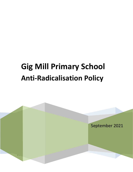# **Gig Mill Primary School Anti-Radicalisation Policy**

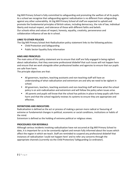Gig Mill Primary School is fully committed to safeguarding and promoting the welfare of all its pupils. As a school we recognise that safeguarding against radicalisation is no different from safeguarding against any other vulnerability*.* At Gig Mill Primary School all staff are expected to uphold and promote the fundamental principles of British values, including democracy, the rule of law, individual liberty and mutual respect, and tolerance of those with different faiths and beliefs. Our schools ethos and values of respect, honesty, equality, creativity, perseverance and collaboration influence all we do in school.

### **LINKS TO OTHER POLICIES**

The Gig Mill Primary School Anti-Radicalisation policy statement links to the following policies:

- Child Protection and Safeguarding
- **Public Sector Equality Duty information**

## **AIMS AND PRINCIPLES**

The main aims of this policy statement are to ensure that staff are fully engaged in being vigilant about radicalisation; that they overcome professional disbelief that such issues will not happen here and ensure that we work alongside other professional bodies and agencies to ensure that our pupils are safe from harm.

The principle objectives are that:

- All governors, teachers, teaching assistants and non-teaching staff will have an understanding of what radicalisation and extremism are and why we need to be vigilant in school.
- All governors, teachers, teaching assistants and non-teaching staff will know what the school policy is on anti-radicalisation and extremism and will follow the policy when issues arise.
- All parents and pupils will know that the school has policies in place to keep pupils safe from harm and that the school regularly reviews its systems to ensure they are appropriate and effective.

## **DEFINITIONS AND INDICATORS**

Radicalisation is defined as the act or process of making a person more radical or favouring of extreme or fundamental changes in political, economic or social conditions, institutions or habits of the mind.

Extremism is defined as the holding of extreme political or religious views.

## **PROCEDURES FOR REFERRALS**

Although serious incidents involving radicalisation have not occurred at Gig Mill Primary School to date, it is important for us to be constantly vigilant and remain fully informed about the issues which affect the region in which we teach. Staff are reminded to suspend any professional disbelief that instances of radicalisation 'could not happen here' and to refer any concerns through the appropriate channels (currently via the Child Protection/ Safeguarding Co-ordinator).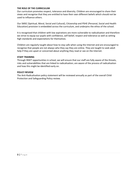#### **THE ROLE OF THE CURRICULUM**

Our curriculum promotes respect, tolerance and diversity. Children are encouraged to share their views and recognise that they are entitled to have their own different beliefs which should not be used to influence others.

Our SMSC (Spiritual, Moral, Social and Cultural), Citizenship and PSHE (Personal, Social and Health Education) provision is embedded across the curriculum, and underpins the ethos of the school.

It is recognised that children with low aspirations are more vulnerable to radicalisation and therefore we strive to equip our pupils with confidence, self-belief, respect and tolerance as well as setting high standards and expectations for themselves.

Children are regularly taught about how to stay safe when using the Internet and are encouraged to recognise that people are not always who they say they are online. They are taught to seek adult help if they are upset or concerned about anything they read or see on the Internet.

#### **STAFF TRAINING**

Through INSET opportunities in school, we will ensure that our staff are fully aware of the threats, risks and vulnerabilities that are linked to radicalisation; are aware of the process of radicalisation and how this might be identified early on.

#### **POLICY REVIEW**

The Anti-Radicalisation policy statement will be reviewed annually as part of the overall Child Protection and Safeguarding Policy review.